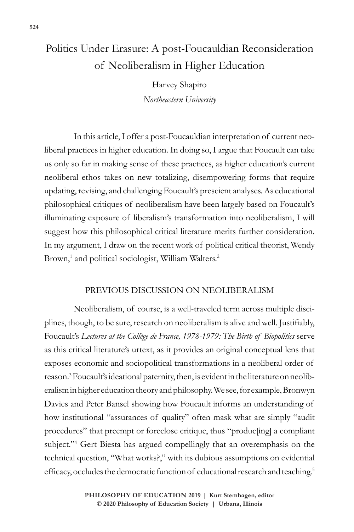# Politics Under Erasure: A post-Foucauldian Reconsideration of Neoliberalism in Higher Education

Harvey Shapiro *Northeastern University*

In this article, I offer a post-Foucauldian interpretation of current neoliberal practices in higher education. In doing so, I argue that Foucault can take us only so far in making sense of these practices, as higher education's current neoliberal ethos takes on new totalizing, disempowering forms that require updating, revising, and challenging Foucault's prescient analyses. As educational philosophical critiques of neoliberalism have been largely based on Foucault's illuminating exposure of liberalism's transformation into neoliberalism, I will suggest how this philosophical critical literature merits further consideration. In my argument, I draw on the recent work of political critical theorist, Wendy Brown,<sup>1</sup> and political sociologist, William Walters.<sup>2</sup>

# PREVIOUS DISCUSSION ON NEOLIBERALISM

Neoliberalism, of course, is a well-traveled term across multiple disciplines, though, to be sure, research on neoliberalism is alive and well. Justifiably, Foucault's *Lectures at the Collège de France, 1978-1979: The Birth of Biopolitics* serve as this critical literature's urtext, as it provides an original conceptual lens that exposes economic and sociopolitical transformations in a neoliberal order of reason.<sup>3</sup> Foucault's ideational paternity, then, is evident in the literature on neoliberalism in higher education theory and philosophy. We see, for example, Bronwyn Davies and Peter Bansel showing how Foucault informs an understanding of how institutional "assurances of quality" often mask what are simply "audit procedures" that preempt or foreclose critique, thus "produc[ing] a compliant subject."4 Gert Biesta has argued compellingly that an overemphasis on the technical question, "What works?," with its dubious assumptions on evidential efficacy, occludes the democratic function of educational research and teaching.5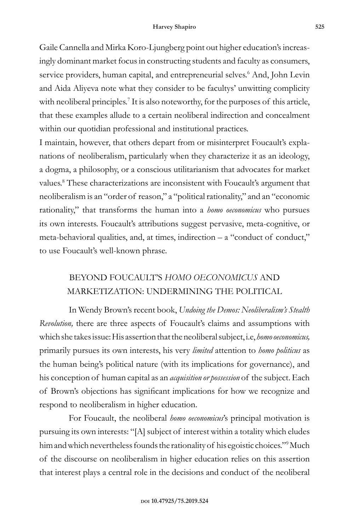Gaile Cannella and Mirka Koro-Ljungberg point out higher education's increasingly dominant market focus in constructing students and faculty as consumers, service providers, human capital, and entrepreneurial selves.<sup>6</sup> And, John Levin and Aida Aliyeva note what they consider to be facultys' unwitting complicity with neoliberal principles.<sup>7</sup> It is also noteworthy, for the purposes of this article, that these examples allude to a certain neoliberal indirection and concealment within our quotidian professional and institutional practices.

I maintain, however, that others depart from or misinterpret Foucault's explanations of neoliberalism, particularly when they characterize it as an ideology, a dogma, a philosophy, or a conscious utilitarianism that advocates for market values.<sup>8</sup> These characterizations are inconsistent with Foucault's argument that neoliberalism is an "order of reason," a "political rationality," and an "economic rationality," that transforms the human into a *homo oeconomicus* who pursues its own interests. Foucault's attributions suggest pervasive, meta-cognitive, or meta-behavioral qualities, and, at times, indirection – a "conduct of conduct," to use Foucault's well-known phrase.

# BEYOND FOUCAULT'S *HOMO OECONOMICUS* AND MARKETIZATION: UNDERMINING THE POLITICAL

In Wendy Brown's recent book, *Undoing the Demos: Neoliberalism's Stealth Revolution,* there are three aspects of Foucault's claims and assumptions with which she takes issue: His assertion that the neoliberal subject, i.e, *homo oeconomicus,*  primarily pursues its own interests, his very *limited* attention to *homo politicus* as the human being's political nature (with its implications for governance), and his conception of human capital as an *acquisition or possession* of the subject. Each of Brown's objections has significant implications for how we recognize and respond to neoliberalism in higher education.

For Foucault, the neoliberal *homo oeconomicus*'s principal motivation is pursuing its own interests: "[A] subject of interest within a totality which eludes him and which nevertheless founds the rationality of his egoistic choices."<sup>9</sup> Much of the discourse on neoliberalism in higher education relies on this assertion that interest plays a central role in the decisions and conduct of the neoliberal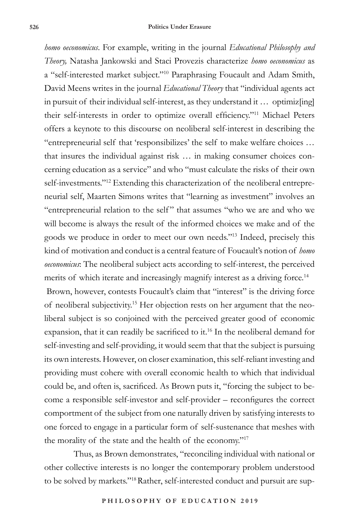*homo oeconomicus*. For example, writing in the journal *Educational Philosophy and Theory,* Natasha Jankowski and Staci Provezis characterize *homo oeconomicus* as a "self-interested market subject."10 Paraphrasing Foucault and Adam Smith, David Meens writes in the journal *Educational Theory* that "individual agents act in pursuit of their individual self-interest, as they understand it … optimiz[ing] their self-interests in order to optimize overall efficiency."11 Michael Peters offers a keynote to this discourse on neoliberal self-interest in describing the "entrepreneurial self that 'responsibilizes' the self to make welfare choices … that insures the individual against risk … in making consumer choices concerning education as a service" and who "must calculate the risks of their own self-investments."<sup>12</sup> Extending this characterization of the neoliberal entrepreneurial self, Maarten Simons writes that "learning as investment" involves an "entrepreneurial relation to the self" that assumes "who we are and who we will become is always the result of the informed choices we make and of the goods we produce in order to meet our own needs."13 Indeed, precisely this kind of motivation and conduct is a central feature of Foucault's notion of *homo oeconomicus*: The neoliberal subject acts according to self-interest, the perceived merits of which iterate and increasingly magnify interest as a driving force.<sup>14</sup>

 Brown, however, contests Foucault's claim that "interest" is the driving force of neoliberal subjectivity.15 Her objection rests on her argument that the neoliberal subject is so conjoined with the perceived greater good of economic expansion, that it can readily be sacrificed to it.<sup>16</sup> In the neoliberal demand for self-investing and self-providing, it would seem that that the subject is pursuing its own interests. However, on closer examination, this self-reliant investing and providing must cohere with overall economic health to which that individual could be, and often is, sacrificed. As Brown puts it, "forcing the subject to become a responsible self-investor and self-provider – reconfigures the correct comportment of the subject from one naturally driven by satisfying interests to one forced to engage in a particular form of self-sustenance that meshes with the morality of the state and the health of the economy."17

Thus, as Brown demonstrates, "reconciling individual with national or other collective interests is no longer the contemporary problem understood to be solved by markets."<sup>18</sup> Rather, self-interested conduct and pursuit are sup-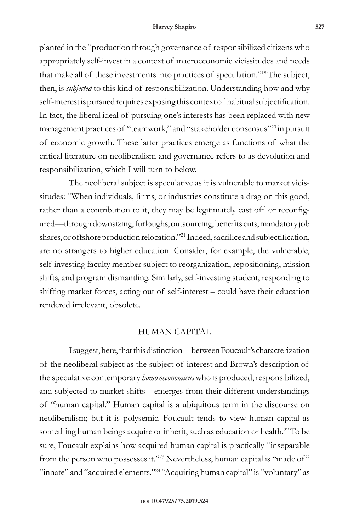#### **Harvey Shapiro 527**

planted in the "production through governance of responsibilized citizens who appropriately self-invest in a context of macroeconomic vicissitudes and needs that make all of these investments into practices of speculation."19The subject, then, is *subjected* to this kind of responsibilization. Understanding how and why self-interest is pursued requires exposing this context of habitual subjectification. In fact, the liberal ideal of pursuing one's interests has been replaced with new management practices of "teamwork," and "stakeholder consensus"20 in pursuit of economic growth. These latter practices emerge as functions of what the critical literature on neoliberalism and governance refers to as devolution and responsibilization, which I will turn to below.

The neoliberal subject is speculative as it is vulnerable to market vicissitudes: "When individuals, firms, or industries constitute a drag on this good, rather than a contribution to it, they may be legitimately cast off or reconfigured—through downsizing, furloughs, outsourcing, benefits cuts, mandatory job shares, or offshore production relocation."21 Indeed, sacrifice and subjectification, are no strangers to higher education. Consider, for example, the vulnerable, self-investing faculty member subject to reorganization, repositioning, mission shifts, and program dismantling. Similarly, self-investing student, responding to shifting market forces, acting out of self-interest – could have their education rendered irrelevant, obsolete.

## HUMAN CAPITAL

I suggest, here, that this distinction—between Foucault's characterization of the neoliberal subject as the subject of interest and Brown's description of the speculative contemporary *homo oeconomicus* who is produced, responsibilized, and subjected to market shifts—emerges from their different understandings of "human capital." Human capital is a ubiquitous term in the discourse on neoliberalism; but it is polysemic. Foucault tends to view human capital as something human beings acquire or inherit, such as education or health.<sup>22</sup> To be sure, Foucault explains how acquired human capital is practically "inseparable from the person who possesses it."23 Nevertheless, human capital is "made of " "innate" and "acquired elements."<sup>24</sup> "Acquiring human capital" is "voluntary" as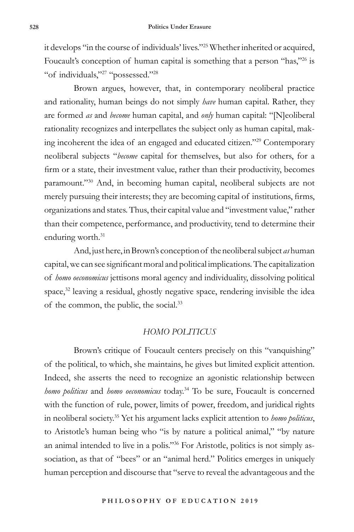it develops "in the course of individuals' lives."25 Whether inherited or acquired, Foucault's conception of human capital is something that a person "has,"<sup>26</sup> is "of individuals,"27 "possessed."28

Brown argues, however, that, in contemporary neoliberal practice and rationality, human beings do not simply *have* human capital. Rather, they are formed *as* and *become* human capital, and *only* human capital: "[N]eoliberal rationality recognizes and interpellates the subject only as human capital, making incoherent the idea of an engaged and educated citizen."29 Contemporary neoliberal subjects "*become* capital for themselves, but also for others, for a firm or a state, their investment value, rather than their productivity, becomes paramount."30 And, in becoming human capital, neoliberal subjects are not merely pursuing their interests; they are becoming capital of institutions, firms, organizations and states. Thus, their capital value and "investment value," rather than their competence, performance, and productivity, tend to determine their enduring worth.<sup>31</sup>

And, just here, in Brown's conception of the neoliberal subject *as* human capital, we can see significant moral and political implications. The capitalization of *homo oeconomicus* jettisons moral agency and individuality, dissolving political space, $32$  leaving a residual, ghostly negative space, rendering invisible the idea of the common, the public, the social.33

#### *HOMO POLITICUS*

Brown's critique of Foucault centers precisely on this "vanquishing" of the political, to which, she maintains, he gives but limited explicit attention. Indeed, she asserts the need to recognize an agonistic relationship between *homo politicus* and *homo oeconomicus* today.34 To be sure, Foucault is concerned with the function of rule, power, limits of power, freedom, and juridical rights in neoliberal society.35 Yet his argument lacks explicit attention to *homo politicus*, to Aristotle's human being who "is by nature a political animal," "by nature an animal intended to live in a polis."36 For Aristotle, politics is not simply association, as that of "bees" or an "animal herd." Politics emerges in uniquely human perception and discourse that "serve to reveal the advantageous and the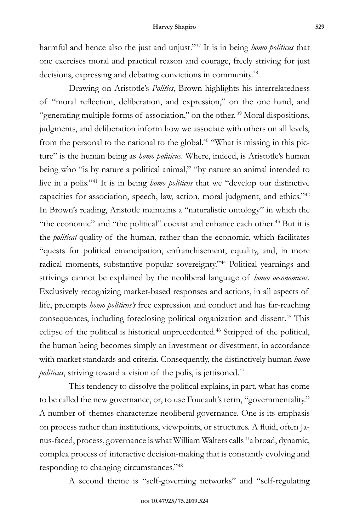harmful and hence also the just and unjust."37 It is in being *homo politicus* that one exercises moral and practical reason and courage, freely striving for just decisions, expressing and debating convictions in community.<sup>38</sup>

Drawing on Aristotle's *Politics*, Brown highlights his interrelatedness of "moral reflection, deliberation, and expression," on the one hand, and "generating multiple forms of association," on the other.<sup>39</sup> Moral dispositions, judgments, and deliberation inform how we associate with others on all levels, from the personal to the national to the global.<sup>40</sup> "What is missing in this picture" is the human being as *homo politicus*. Where, indeed, is Aristotle's human being who "is by nature a political animal," "by nature an animal intended to live in a polis."41 It is in being *homo politicus* that we "develop our distinctive capacities for association, speech, law, action, moral judgment, and ethics."42 In Brown's reading, Aristotle maintains a "naturalistic ontology" in which the "the economic" and "the political" coexist and enhance each other.<sup>43</sup> But it is the *political* quality of the human, rather than the economic, which facilitates "quests for political emancipation, enfranchisement, equality, and, in more radical moments, substantive popular sovereignty."44 Political yearnings and strivings cannot be explained by the neoliberal language of *homo oeconomicus*. Exclusively recognizing market-based responses and actions, in all aspects of life, preempts *homo politicus's* free expression and conduct and has far-reaching consequences, including foreclosing political organization and dissent.<sup>45</sup> This eclipse of the political is historical unprecedented.<sup>46</sup> Stripped of the political, the human being becomes simply an investment or divestment, in accordance with market standards and criteria. Consequently, the distinctively human *homo politicus*, striving toward a vision of the polis, is jettisoned.<sup>47</sup>

This tendency to dissolve the political explains, in part, what has come to be called the new governance, or, to use Foucault's term, "governmentality." A number of themes characterize neoliberal governance. One is its emphasis on process rather than institutions, viewpoints, or structures. A fluid, often Janus-faced, process, governance is what William Walters calls "a broad, dynamic, complex process of interactive decision-making that is constantly evolving and responding to changing circumstances."48

A second theme is "self-governing networks" and "self-regulating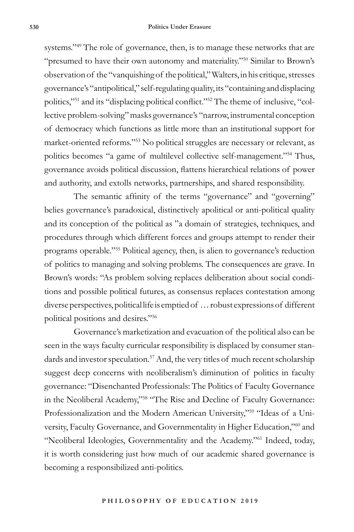#### **530 Politics Under Erasure**

systems."<sup>49</sup> The role of governance, then, is to manage these networks that are "presumed to have their own autonomy and materiality."<sup>50</sup> Similar to Brown's observation of the "vanquishing of the political," Walters, in his critique, stresses governance's "antipolitical," self-regulating quality, its "containing and displacing politics,"51 and its "displacing political conflict."52 The theme of inclusive, "collective problem-solving" masks governance's "narrow, instrumental conception of democracy which functions as little more than an institutional support for market-oriented reforms."53 No political struggles are necessary or relevant, as politics becomes "a game of multilevel collective self-management."54 Thus, governance avoids political discussion, flattens hierarchical relations of power and authority, and extolls networks, partnerships, and shared responsibility.

The semantic affinity of the terms "governance" and "governing" belies governance's paradoxical, distinctively apolitical or anti-political quality and its conception of the political as "a domain of strategies, techniques, and procedures through which different forces and groups attempt to render their programs operable."55 Political agency, then, is alien to governance's reduction of politics to managing and solving problems. The consequences are grave. In Brown's words: "As problem solving replaces deliberation about social conditions and possible political futures, as consensus replaces contestation among diverse perspectives, political life is emptied of … robust expressions of different political positions and desires."56

Governance's marketization and evacuation of the political also can be seen in the ways faculty curricular responsibility is displaced by consumer standards and investor speculation.<sup>57</sup> And, the very titles of much recent scholarship suggest deep concerns with neoliberalism's diminution of politics in faculty governance: "Disenchanted Professionals: The Politics of Faculty Governance in the Neoliberal Academy,"<sup>58 "The Rise and Decline of Faculty Governance:</sup> Professionalization and the Modern American University,"<sup>59</sup> "Ideas of a University, Faculty Governance, and Governmentality in Higher Education,"60 and "Neoliberal Ideologies, Governmentality and the Academy."61 Indeed, today, it is worth considering just how much of our academic shared governance is becoming a responsibilized anti-politics.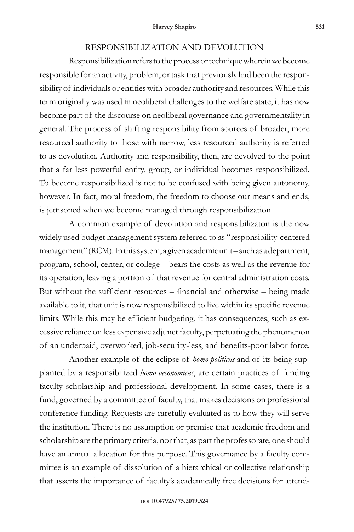#### RESPONSIBILIZATION AND DEVOLUTION

Responsibilization refers to the process or technique wherein we become responsible for an activity, problem, or task that previously had been the responsibility of individuals or entities with broader authority and resources. While this term originally was used in neoliberal challenges to the welfare state, it has now become part of the discourse on neoliberal governance and governmentality in general. The process of shifting responsibility from sources of broader, more resourced authority to those with narrow, less resourced authority is referred to as devolution. Authority and responsibility, then, are devolved to the point that a far less powerful entity, group, or individual becomes responsibilized. To become responsibilized is not to be confused with being given autonomy, however. In fact, moral freedom, the freedom to choose our means and ends, is jettisoned when we become managed through responsibilization.

A common example of devolution and responsibilizaton is the now widely used budget management system referred to as "responsibility-centered management" (RCM). In this system, a given academic unit – such as a department, program, school, center, or college – bears the costs as well as the revenue for its operation, leaving a portion of that revenue for central administration costs. But without the sufficient resources – financial and otherwise – being made available to it, that unit is now responsibilized to live within its specific revenue limits. While this may be efficient budgeting, it has consequences, such as excessive reliance on less expensive adjunct faculty, perpetuating the phenomenon of an underpaid, overworked, job-security-less, and benefits-poor labor force.

Another example of the eclipse of *homo politicus* and of its being supplanted by a responsibilized *homo oeconomicus*, are certain practices of funding faculty scholarship and professional development. In some cases, there is a fund, governed by a committee of faculty, that makes decisions on professional conference funding. Requests are carefully evaluated as to how they will serve the institution. There is no assumption or premise that academic freedom and scholarship are the primary criteria, nor that, as part the professorate, one should have an annual allocation for this purpose. This governance by a faculty committee is an example of dissolution of a hierarchical or collective relationship that asserts the importance of faculty's academically free decisions for attend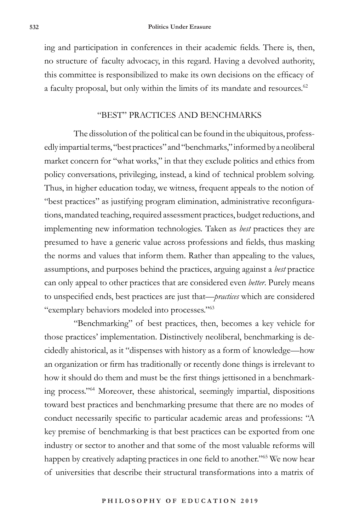ing and participation in conferences in their academic fields. There is, then, no structure of faculty advocacy, in this regard. Having a devolved authority, this committee is responsibilized to make its own decisions on the efficacy of a faculty proposal, but only within the limits of its mandate and resources.<sup>62</sup>

# "BEST" PRACTICES AND BENCHMARKS

The dissolution of the political can be found in the ubiquitous, professedly impartial terms, "best practices" and "benchmarks," informed by a neoliberal market concern for "what works," in that they exclude politics and ethics from policy conversations, privileging, instead, a kind of technical problem solving. Thus, in higher education today, we witness, frequent appeals to the notion of "best practices" as justifying program elimination, administrative reconfigurations, mandated teaching, required assessment practices, budget reductions, and implementing new information technologies. Taken as *best* practices they are presumed to have a generic value across professions and fields, thus masking the norms and values that inform them. Rather than appealing to the values, assumptions, and purposes behind the practices, arguing against a *best* practice can only appeal to other practices that are considered even *better*. Purely means to unspecified ends, best practices are just that—*practices* which are considered "exemplary behaviors modeled into processes."63

"Benchmarking" of best practices, then, becomes a key vehicle for those practices' implementation. Distinctively neoliberal, benchmarking is decidedly ahistorical, as it "dispenses with history as a form of knowledge—how an organization or firm has traditionally or recently done things is irrelevant to how it should do them and must be the first things jettisoned in a benchmarking process."64 Moreover, these ahistorical, seemingly impartial, dispositions toward best practices and benchmarking presume that there are no modes of conduct necessarily specific to particular academic areas and professions: "A key premise of benchmarking is that best practices can be exported from one industry or sector to another and that some of the most valuable reforms will happen by creatively adapting practices in one field to another."<sup>65</sup> We now hear of universities that describe their structural transformations into a matrix of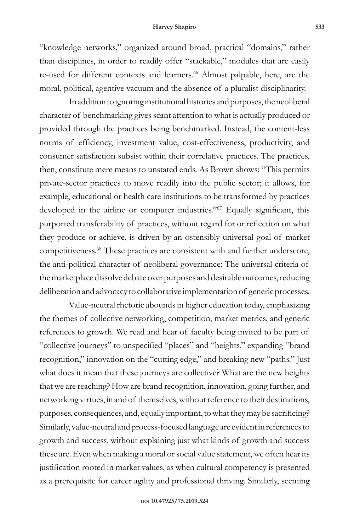"knowledge networks," organized around broad, practical "domains," rather than disciplines, in order to readily offer "stackable," modules that are easily re-used for different contexts and learners.<sup>66</sup> Almost palpable, here, are the moral, political, agentive vacuum and the absence of a pluralist disciplinarity.

In addition to ignoring institutional histories and purposes, the neoliberal character of benchmarking gives scant attention to what is actually produced or provided through the practices being benchmarked. Instead, the content-less norms of efficiency, investment value, cost-effectiveness, productivity, and consumer satisfaction subsist within their correlative practices. The practices, then, constitute mere means to unstated ends. As Brown shows: "This permits private-sector practices to move readily into the public sector; it allows, for example, educational or health care institutions to be transformed by practices developed in the airline or computer industries."<sup>67</sup> Equally significant, this purported transferability of practices, without regard for or reflection on what they produce or achieve, is driven by an ostensibly universal goal of market competitiveness.68 These practices are consistent with and further underscore, the anti-political character of neoliberal governance: The universal criteria of the marketplace dissolve debate over purposes and desirable outcomes, reducing deliberation and advocacy to collaborative implementation of generic processes.

Value-neutral rhetoric abounds in higher education today, emphasizing the themes of collective networking, competition, market metrics, and generic references to growth. We read and hear of faculty being invited to be part of "collective journeys" to unspecified "places" and "heights," expanding "brand recognition," innovation on the "cutting edge," and breaking new "paths." Just what does it mean that these journeys are collective? What are the new heights that we are reaching? How are brand recognition, innovation, going further, and networking virtues, in and of themselves, without reference to their destinations, purposes, consequences, and, equally important, to what they may be sacrificing? Similarly, value-neutral and process-focused language are evident in references to growth and success, without explaining just what kinds of growth and success these are. Even when making a moral or social value statement, we often hear its justification rooted in market values, as when cultural competency is presented as a prerequisite for career agility and professional thriving. Similarly, seeming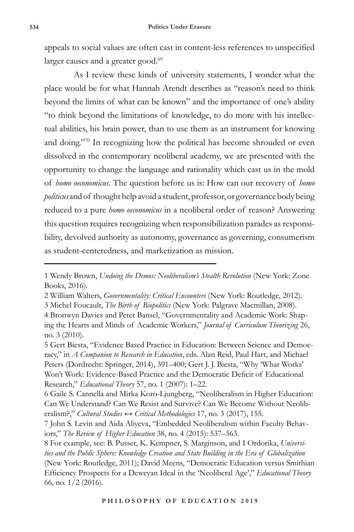appeals to social values are often cast in content-less references to unspecified larger causes and a greater good.<sup>69</sup>

As I review these kinds of university statements, I wonder what the place would be for what Hannah Arendt describes as "reason's need to think beyond the limits of what can be known" and the importance of one's ability "to think beyond the limitations of knowledge, to do more with his intellectual abilities, his brain power, than to use them as an instrument for knowing and doing."70 In recognizing how the political has become shrouded or even dissolved in the contemporary neoliberal academy, we are presented with the opportunity to change the language and rationality which cast us in the mold of *homo oeconomicus*. The question before us is: How can our recovery of *homo politicus* and of thought help avoid a student, professor, or governance body being reduced to a pure *homo oeconomicus* in a neoliberal order of reason? Answering this question requires recognizing when responsibilization parades as responsibility, devolved authority as autonomy, governance as governing, consumerism as student-centeredness, and marketization as mission.

3 Michel Foucault, *The Birth of Biopolitics* (New York: Palgrave Macmillan, 2008).

<sup>1</sup> Wendy Brown, *Undoing the Demos: Neoliberalism's Stealth Revolution* (New York: Zone Books, 2016).

<sup>2</sup> William Walters, *Governmentality: Critical Encounters* (New York: Routledge, 2012).

<sup>4</sup> Bronwyn Davies and Peter Bansel, "Governmentality and Academic Work: Shaping the Hearts and Minds of Academic Workers," *Journal of Curriculum Theorizing* 26, no. 3 (2010).

<sup>5</sup> Gert Biesta, "Evidence Based Practice in Education: Between Science and Democracy," in *A Companion to Research in Education*, eds. Alan Reid, Paul Hart, and Michael Peters (Dordrecht: Springer, 2014), 391–400; Gert J. J. Biesta, "Why 'What Works' Won't Work: Evidence-Based Practice and the Democratic Deficit of Educational Research," *Educational Theory* 57, no. 1 (2007): 1–22.

<sup>6</sup> Gaile S. Cannella and Mirka Koro-Ljungberg, "Neoliberalism in Higher Education: Can We Understand? Can We Resist and Survive? Can We Become Without Neoliberalism?," *Cultural Studies ↔ Critical Methodologies* 17, no. 3 (2017), 155.

<sup>7</sup> John S. Levin and Aida Aliyeva, "Embedded Neoliberalism within Faculty Behaviors," *The Review of Higher Education* 38, no. 4 (2015): 537–563.

<sup>8</sup> For example, see: B. Pusser, K. Kempner, S. Marginson, and I Ordorika, *Universities and the Public Sphere: Knowledge Creation and State Building in the Era of Globalization* (New York: Routledge, 2011); David Meens, "Democratic Education versus Smithian Efficiency Prospects for a Deweyan Ideal in the 'Neoliberal Age'," *Educational Theory* 66, no. 1/2 (2016).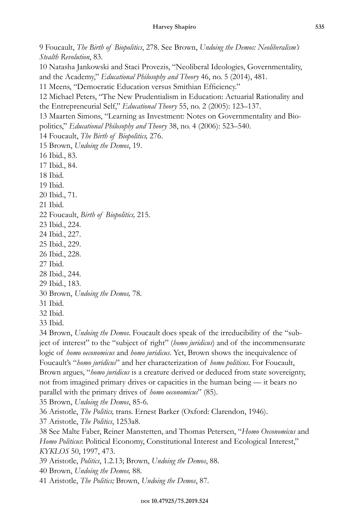9 Foucault, *The Birth of Biopolitics*, 278. See Brown, *Undoing the Demos: Neoliberalism's Stealth Revolution*, 83.

10 Natasha Jankowski and Staci Provezis, "Neoliberal Ideologies, Governmentality, and the Academy," *Educational Philosophy and Theory* 46, no. 5 (2014), 481.

11 Meens, "Democratic Education versus Smithian Efficiency."

12 Michael Peters, "The New Prudentialism in Education: Actuarial Rationality and the Entrepreneurial Self," *Educational Theory* 55, no. 2 (2005): 123–137.

13 Maarten Simons, "Learning as Investment: Notes on Governmentality and Biopolitics," *Educational Philosophy and Theory* 38, no. 4 (2006): 523–540.

14 Foucault, *The Birth of Biopolitics,* 276.

15 Brown, *Undoing the Demos*, 19.

16 Ibid., 83.

17 Ibid., 84.

18 Ibid.

19 Ibid.

20 Ibid., 71.

21 Ibid.

22 Foucault, *Birth of Biopolitics,* 215.

23 Ibid., 224.

24 Ibid., 227.

25 Ibid., 229.

26 Ibid., 228.

27 Ibid.

28 Ibid., 244.

29 Ibid., 183.

30 Brown, *Undoing the Demos,* 78.

31 Ibid.

32 Ibid.

33 Ibid.

34 Brown, *Undoing the Demos*. Foucault does speak of the irreducibility of the "subject of interest" to the "subject of right" (*homo juridicus*) and of the incommensurate logic of *homo oeconomicus* and *homo juridicus*. Yet, Brown shows the inequivalence of Foucault's "*homo juridicus*" and her characterization of *homo politicus*. For Foucault, Brown argues, "*homo juridicus* is a creature derived or deduced from state sovereignty, not from imagined primary drives or capacities in the human being — it bears no parallel with the primary drives of *homo oeconomicus*" (85).

35 Brown, *Undoing the Demos*, 85-6.

36 Aristotle, *The Politics,* trans. Ernest Barker (Oxford: Clarendon, 1946).

37 Aristotle, *The Politics*, 1253a8.

38 See Malte Faber, Reiner Manstetten, and Thomas Petersen, "*Homo Oeconomicus* and *Homo Politicus*: Political Economy, Constitutional Interest and Ecological Interest," *KYKLOS* 50, 1997, 473.

39 Aristotle, *Politics*, 1.2.13; Brown, *Undoing the Demos*, 88.

40 Brown, *Undoing the Demos,* 88.

41 Aristotle, *The Politics;* Brown, *Undoing the Demos*, 87.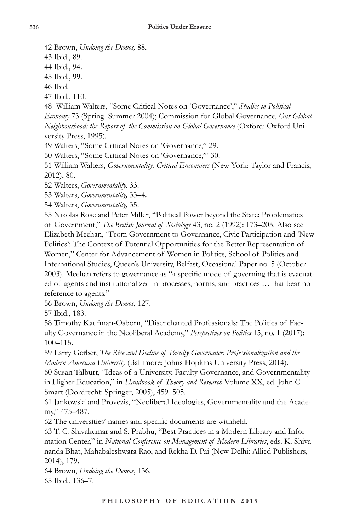42 Brown, *Undoing the Demos,* 88.

43 Ibid., 89.

44 Ibid., 94.

45 Ibid., 99.

46 Ibid.

47 Ibid., 110.

48 William Walters, "Some Critical Notes on 'Governance'," *Studies in Political Economy* 73 (Spring–Summer 2004); Commission for Global Governance, *Our Global Neighbourhood: the Report of the Commission on Global Governance* (Oxford: Oxford University Press, 1995).

49 Walters, "Some Critical Notes on 'Governance," 29.

50 Walters, "Some Critical Notes on 'Governance,'" 30.

51 William Walters, *Governmentality: Critical Encounters* (New York: Taylor and Francis, 2012), 80.

52 Walters, *Governmentality,* 33.

53 Walters, *Governmentality,* 33–4.

54 Walters, *Governmentality,* 35.

55 Nikolas Rose and Peter Miller, "Political Power beyond the State: Problematics of Government," *The British Journal of Sociology* 43, no. 2 (1992): 173–205. Also see Elizabeth Meehan, "From Government to Governance, Civic Participation and 'New Politics': The Context of Potential Opportunities for the Better Representation of Women," Center for Advancement of Women in Politics, School of Politics and International Studies, Queen's University, Belfast, Occasional Paper no. 5 (October 2003). Meehan refers to governance as "a specific mode of governing that is evacuated of agents and institutionalized in processes, norms, and practices … that bear no reference to agents."

56 Brown, *Undoing the Demos*, 127.

57 Ibid., 183.

58 Timothy Kaufman-Osborn, "Disenchanted Professionals: The Politics of Faculty Governance in the Neoliberal Academy," *Perspectives on Politics* 15, no. 1 (2017): 100–115.

59 Larry Gerber, *The Rise and Decline of Faculty Governance: Professionalization and the Modern American University* (Baltimore: Johns Hopkins University Press, 2014).

60 Susan Talburt, "Ideas of a University, Faculty Governance, and Governmentality in Higher Education," in *Handbook of Theory and Research* Volume XX, ed. John C. Smart (Dordrecht: Springer, 2005), 459–505.

61 Jankowski and Provezis, "Neoliberal Ideologies, Governmentality and the Academy," 475–487.

62 The universities' names and specific documents are withheld.

63 T. C. Shivakumar and S. Prabhu, "Best Practices in a Modern Library and Information Center," in *National Conference on Management of Modern Libraries*, eds. K. Shivananda Bhat, Mahabaleshwara Rao, and Rekha D. Pai (New Delhi: Allied Publishers, 2014), 179.

64 Brown, *Undoing the Demos*, 136.

65 Ibid., 136–7.